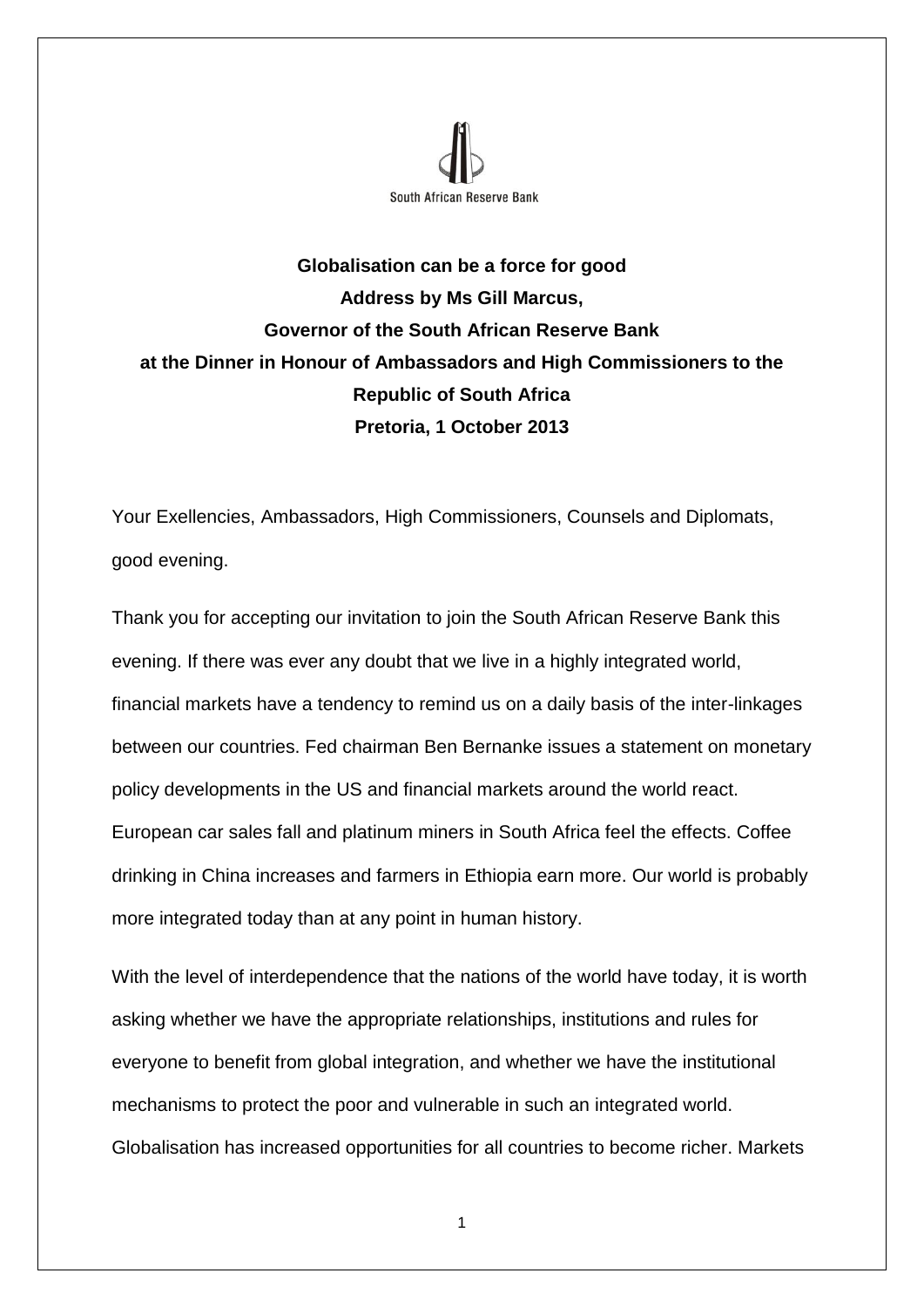

## **Globalisation can be a force for good Address by Ms Gill Marcus, Governor of the South African Reserve Bank at the Dinner in Honour of Ambassadors and High Commissioners to the Republic of South Africa Pretoria, 1 October 2013**

Your Exellencies, Ambassadors, High Commissioners, Counsels and Diplomats, good evening.

Thank you for accepting our invitation to join the South African Reserve Bank this evening. If there was ever any doubt that we live in a highly integrated world, financial markets have a tendency to remind us on a daily basis of the inter-linkages between our countries. Fed chairman Ben Bernanke issues a statement on monetary policy developments in the US and financial markets around the world react. European car sales fall and platinum miners in South Africa feel the effects. Coffee drinking in China increases and farmers in Ethiopia earn more. Our world is probably more integrated today than at any point in human history.

With the level of interdependence that the nations of the world have today, it is worth asking whether we have the appropriate relationships, institutions and rules for everyone to benefit from global integration, and whether we have the institutional mechanisms to protect the poor and vulnerable in such an integrated world. Globalisation has increased opportunities for all countries to become richer. Markets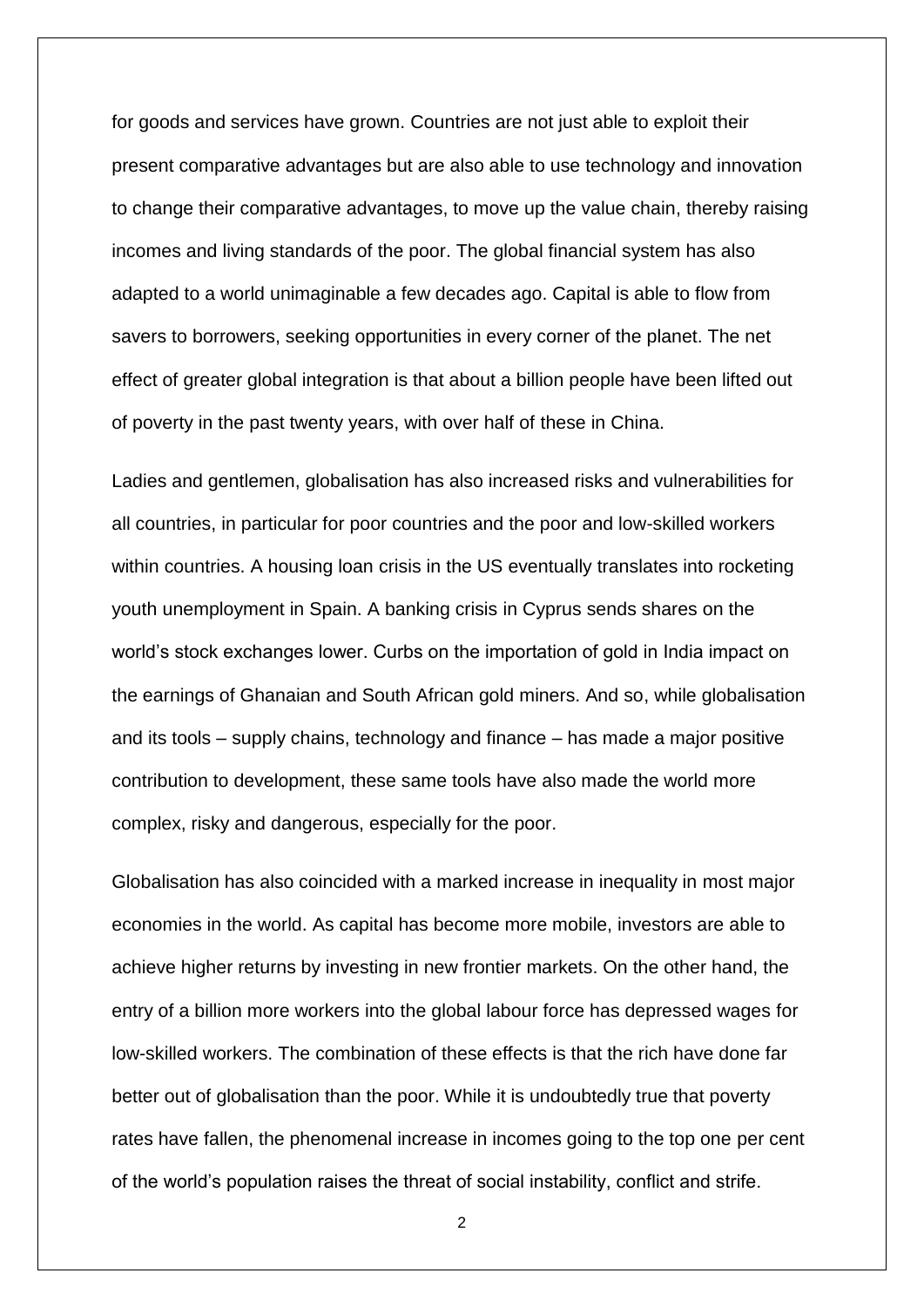for goods and services have grown. Countries are not just able to exploit their present comparative advantages but are also able to use technology and innovation to change their comparative advantages, to move up the value chain, thereby raising incomes and living standards of the poor. The global financial system has also adapted to a world unimaginable a few decades ago. Capital is able to flow from savers to borrowers, seeking opportunities in every corner of the planet. The net effect of greater global integration is that about a billion people have been lifted out of poverty in the past twenty years, with over half of these in China.

Ladies and gentlemen, globalisation has also increased risks and vulnerabilities for all countries, in particular for poor countries and the poor and low-skilled workers within countries. A housing loan crisis in the US eventually translates into rocketing youth unemployment in Spain. A banking crisis in Cyprus sends shares on the world's stock exchanges lower. Curbs on the importation of gold in India impact on the earnings of Ghanaian and South African gold miners. And so, while globalisation and its tools – supply chains, technology and finance – has made a major positive contribution to development, these same tools have also made the world more complex, risky and dangerous, especially for the poor.

Globalisation has also coincided with a marked increase in inequality in most major economies in the world. As capital has become more mobile, investors are able to achieve higher returns by investing in new frontier markets. On the other hand, the entry of a billion more workers into the global labour force has depressed wages for low-skilled workers. The combination of these effects is that the rich have done far better out of globalisation than the poor. While it is undoubtedly true that poverty rates have fallen, the phenomenal increase in incomes going to the top one per cent of the world's population raises the threat of social instability, conflict and strife.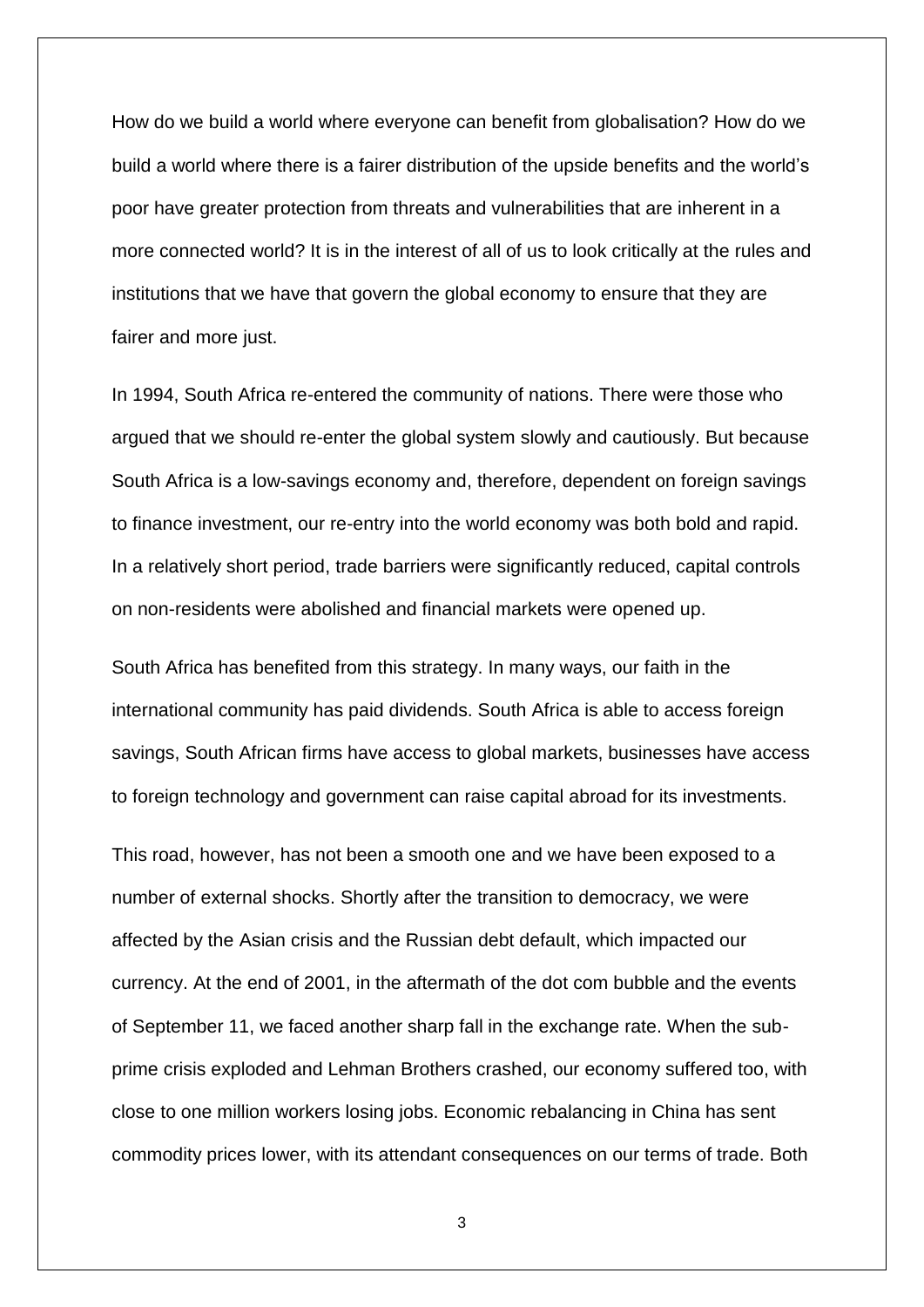How do we build a world where everyone can benefit from globalisation? How do we build a world where there is a fairer distribution of the upside benefits and the world's poor have greater protection from threats and vulnerabilities that are inherent in a more connected world? It is in the interest of all of us to look critically at the rules and institutions that we have that govern the global economy to ensure that they are fairer and more just.

In 1994, South Africa re-entered the community of nations. There were those who argued that we should re-enter the global system slowly and cautiously. But because South Africa is a low-savings economy and, therefore, dependent on foreign savings to finance investment, our re-entry into the world economy was both bold and rapid. In a relatively short period, trade barriers were significantly reduced, capital controls on non-residents were abolished and financial markets were opened up.

South Africa has benefited from this strategy. In many ways, our faith in the international community has paid dividends. South Africa is able to access foreign savings, South African firms have access to global markets, businesses have access to foreign technology and government can raise capital abroad for its investments.

This road, however, has not been a smooth one and we have been exposed to a number of external shocks. Shortly after the transition to democracy, we were affected by the Asian crisis and the Russian debt default, which impacted our currency. At the end of 2001, in the aftermath of the dot com bubble and the events of September 11, we faced another sharp fall in the exchange rate. When the subprime crisis exploded and Lehman Brothers crashed, our economy suffered too, with close to one million workers losing jobs. Economic rebalancing in China has sent commodity prices lower, with its attendant consequences on our terms of trade. Both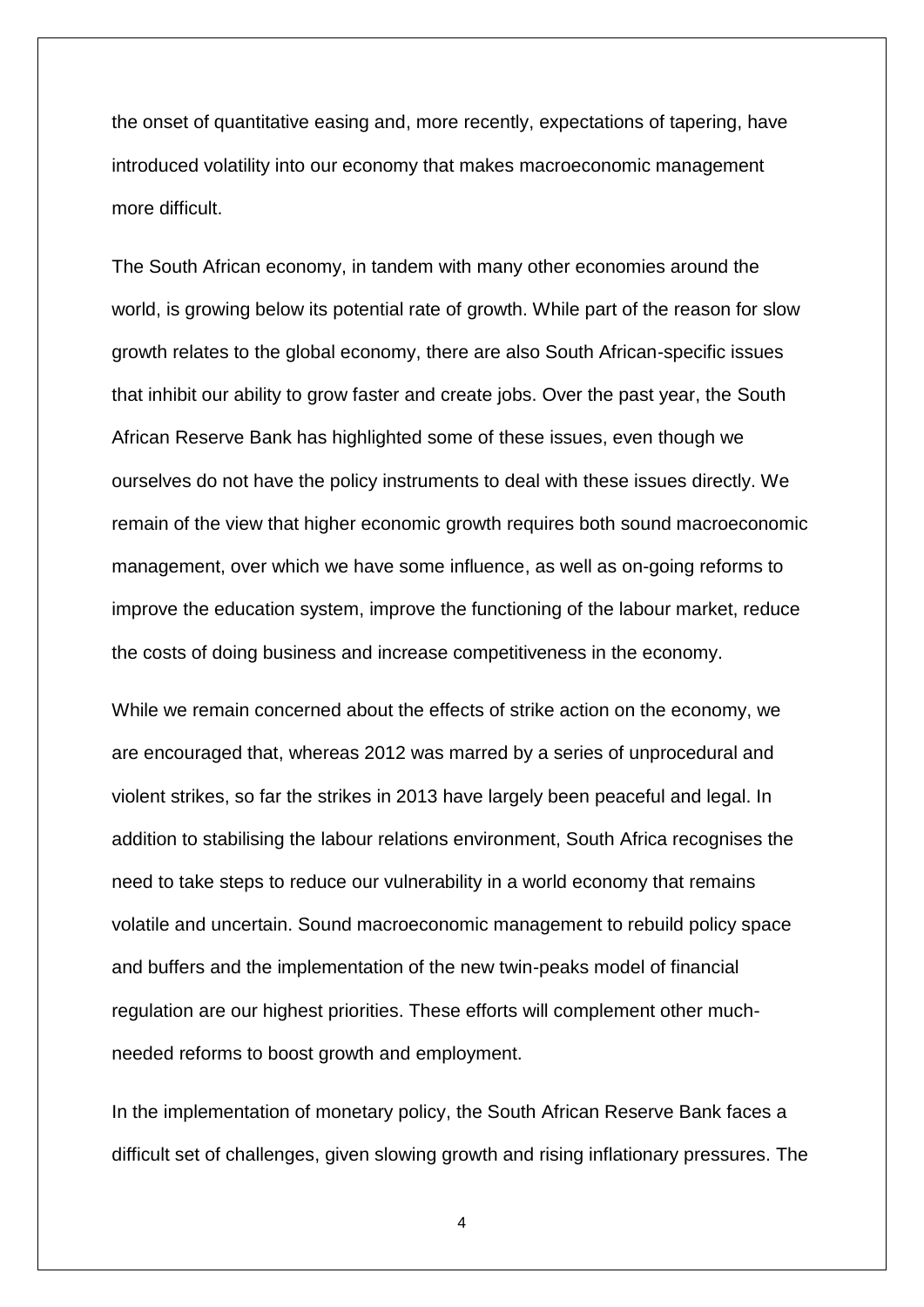the onset of quantitative easing and, more recently, expectations of tapering, have introduced volatility into our economy that makes macroeconomic management more difficult.

The South African economy, in tandem with many other economies around the world, is growing below its potential rate of growth. While part of the reason for slow growth relates to the global economy, there are also South African-specific issues that inhibit our ability to grow faster and create jobs. Over the past year, the South African Reserve Bank has highlighted some of these issues, even though we ourselves do not have the policy instruments to deal with these issues directly. We remain of the view that higher economic growth requires both sound macroeconomic management, over which we have some influence, as well as on-going reforms to improve the education system, improve the functioning of the labour market, reduce the costs of doing business and increase competitiveness in the economy.

While we remain concerned about the effects of strike action on the economy, we are encouraged that, whereas 2012 was marred by a series of unprocedural and violent strikes, so far the strikes in 2013 have largely been peaceful and legal. In addition to stabilising the labour relations environment, South Africa recognises the need to take steps to reduce our vulnerability in a world economy that remains volatile and uncertain. Sound macroeconomic management to rebuild policy space and buffers and the implementation of the new twin-peaks model of financial regulation are our highest priorities. These efforts will complement other muchneeded reforms to boost growth and employment.

In the implementation of monetary policy, the South African Reserve Bank faces a difficult set of challenges, given slowing growth and rising inflationary pressures. The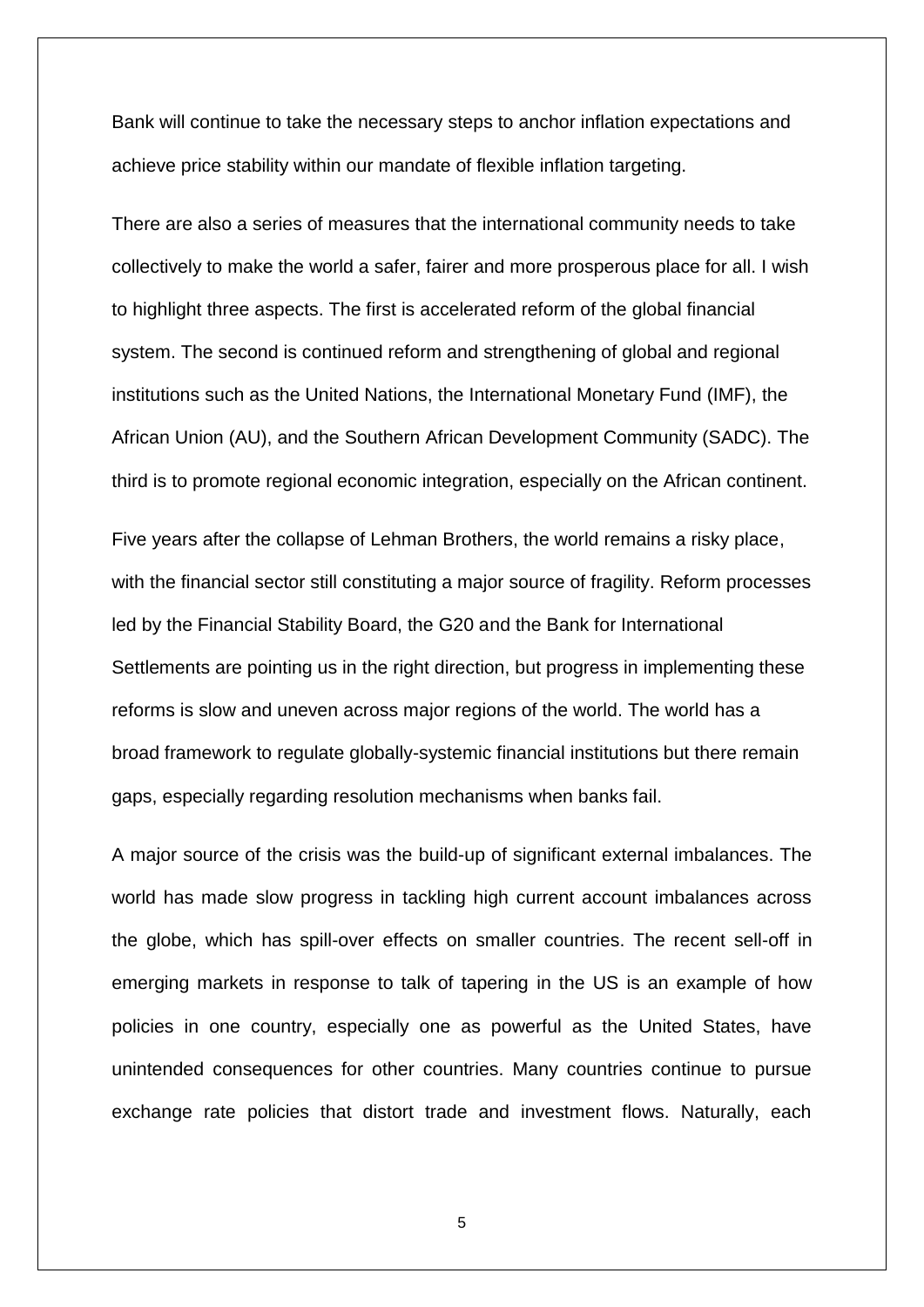Bank will continue to take the necessary steps to anchor inflation expectations and achieve price stability within our mandate of flexible inflation targeting.

There are also a series of measures that the international community needs to take collectively to make the world a safer, fairer and more prosperous place for all. I wish to highlight three aspects. The first is accelerated reform of the global financial system. The second is continued reform and strengthening of global and regional institutions such as the United Nations, the International Monetary Fund (IMF), the African Union (AU), and the Southern African Development Community (SADC). The third is to promote regional economic integration, especially on the African continent.

Five years after the collapse of Lehman Brothers, the world remains a risky place, with the financial sector still constituting a major source of fragility. Reform processes led by the Financial Stability Board, the G20 and the Bank for International Settlements are pointing us in the right direction, but progress in implementing these reforms is slow and uneven across major regions of the world. The world has a broad framework to regulate globally-systemic financial institutions but there remain gaps, especially regarding resolution mechanisms when banks fail.

A major source of the crisis was the build-up of significant external imbalances. The world has made slow progress in tackling high current account imbalances across the globe, which has spill-over effects on smaller countries. The recent sell-off in emerging markets in response to talk of tapering in the US is an example of how policies in one country, especially one as powerful as the United States, have unintended consequences for other countries. Many countries continue to pursue exchange rate policies that distort trade and investment flows. Naturally, each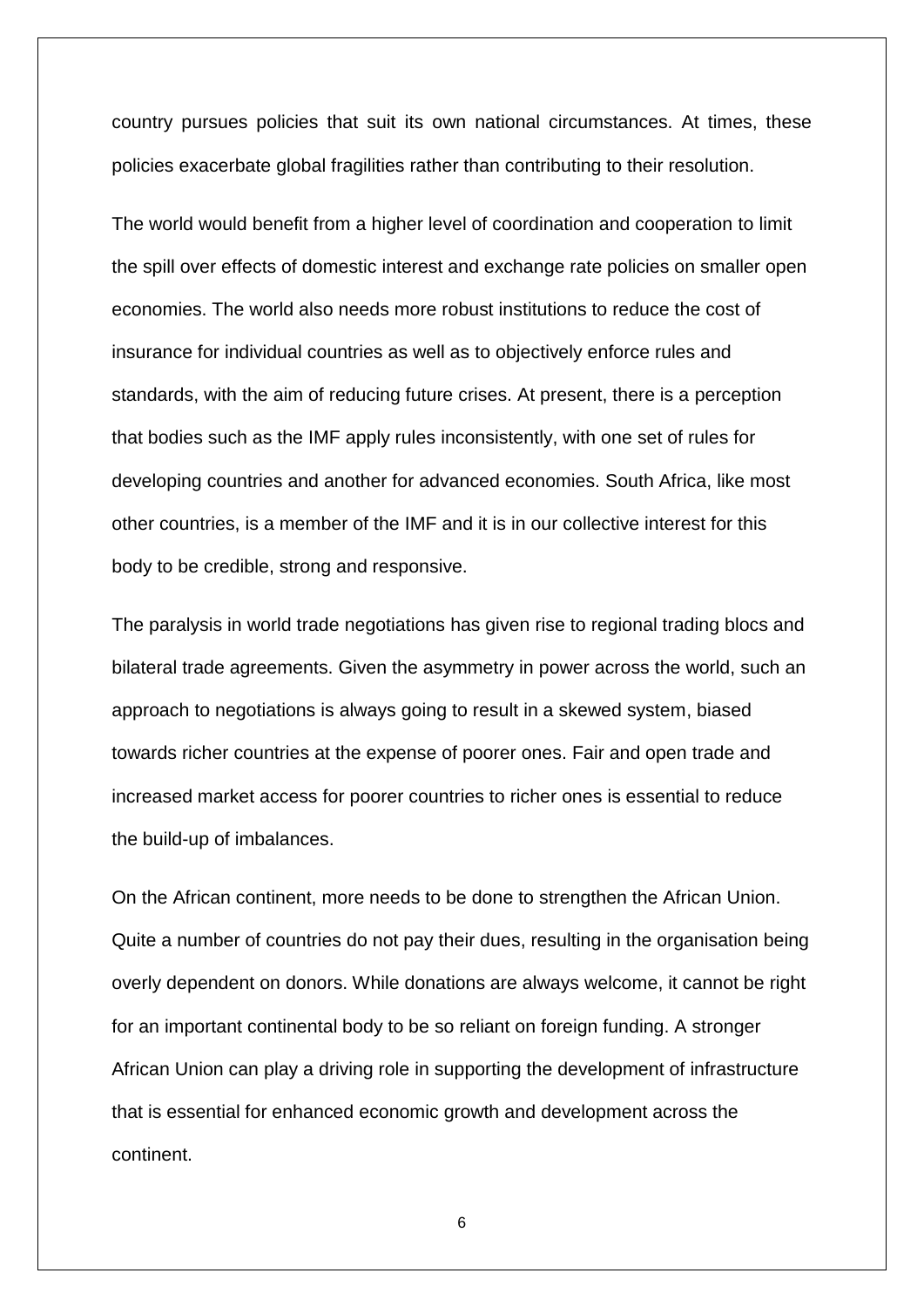country pursues policies that suit its own national circumstances. At times, these policies exacerbate global fragilities rather than contributing to their resolution.

The world would benefit from a higher level of coordination and cooperation to limit the spill over effects of domestic interest and exchange rate policies on smaller open economies. The world also needs more robust institutions to reduce the cost of insurance for individual countries as well as to objectively enforce rules and standards, with the aim of reducing future crises. At present, there is a perception that bodies such as the IMF apply rules inconsistently, with one set of rules for developing countries and another for advanced economies. South Africa, like most other countries, is a member of the IMF and it is in our collective interest for this body to be credible, strong and responsive.

The paralysis in world trade negotiations has given rise to regional trading blocs and bilateral trade agreements. Given the asymmetry in power across the world, such an approach to negotiations is always going to result in a skewed system, biased towards richer countries at the expense of poorer ones. Fair and open trade and increased market access for poorer countries to richer ones is essential to reduce the build-up of imbalances.

On the African continent, more needs to be done to strengthen the African Union. Quite a number of countries do not pay their dues, resulting in the organisation being overly dependent on donors. While donations are always welcome, it cannot be right for an important continental body to be so reliant on foreign funding. A stronger African Union can play a driving role in supporting the development of infrastructure that is essential for enhanced economic growth and development across the continent.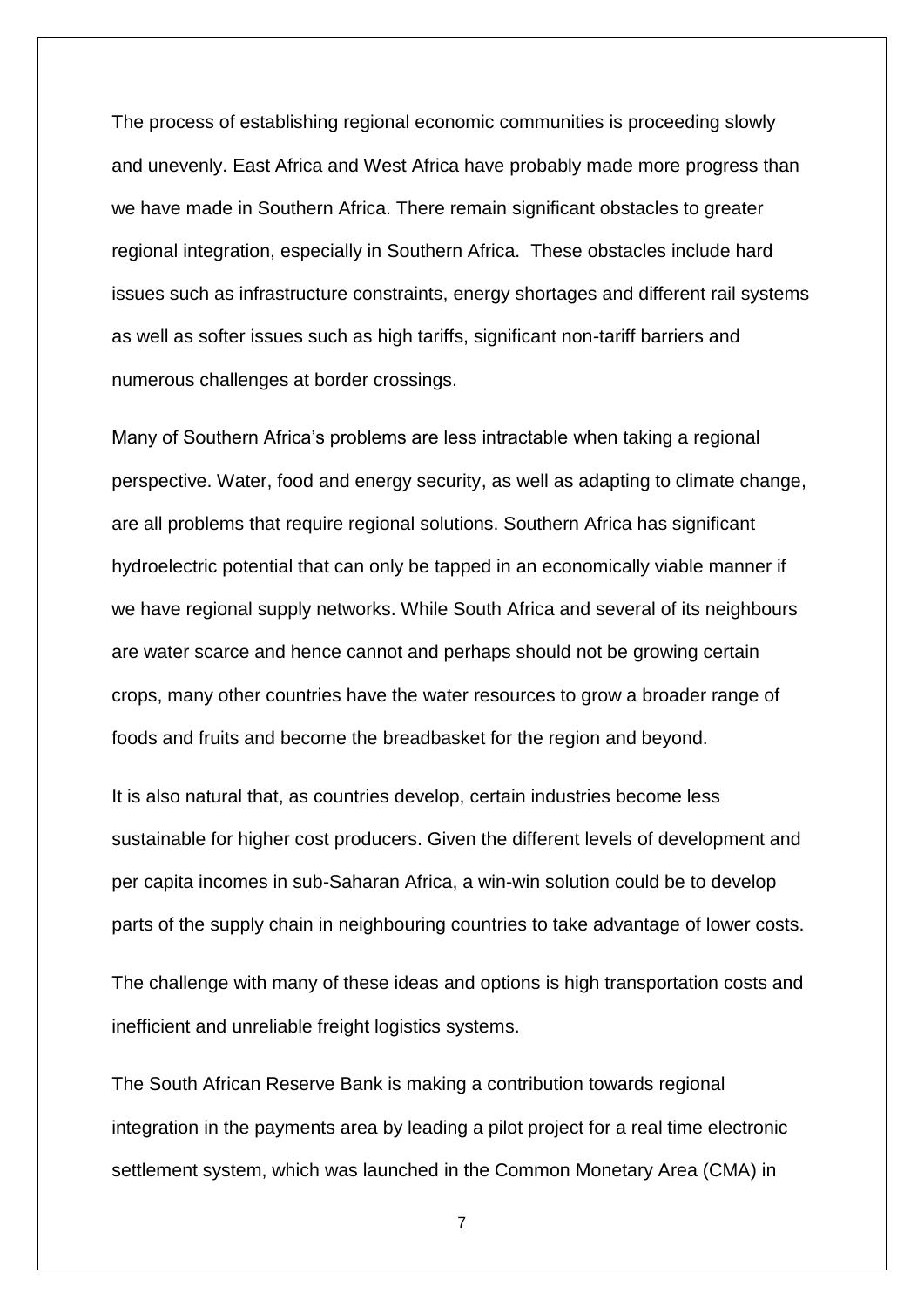The process of establishing regional economic communities is proceeding slowly and unevenly. East Africa and West Africa have probably made more progress than we have made in Southern Africa. There remain significant obstacles to greater regional integration, especially in Southern Africa. These obstacles include hard issues such as infrastructure constraints, energy shortages and different rail systems as well as softer issues such as high tariffs, significant non-tariff barriers and numerous challenges at border crossings.

Many of Southern Africa's problems are less intractable when taking a regional perspective. Water, food and energy security, as well as adapting to climate change, are all problems that require regional solutions. Southern Africa has significant hydroelectric potential that can only be tapped in an economically viable manner if we have regional supply networks. While South Africa and several of its neighbours are water scarce and hence cannot and perhaps should not be growing certain crops, many other countries have the water resources to grow a broader range of foods and fruits and become the breadbasket for the region and beyond.

It is also natural that, as countries develop, certain industries become less sustainable for higher cost producers. Given the different levels of development and per capita incomes in sub-Saharan Africa, a win-win solution could be to develop parts of the supply chain in neighbouring countries to take advantage of lower costs.

The challenge with many of these ideas and options is high transportation costs and inefficient and unreliable freight logistics systems.

The South African Reserve Bank is making a contribution towards regional integration in the payments area by leading a pilot project for a real time electronic settlement system, which was launched in the Common Monetary Area (CMA) in